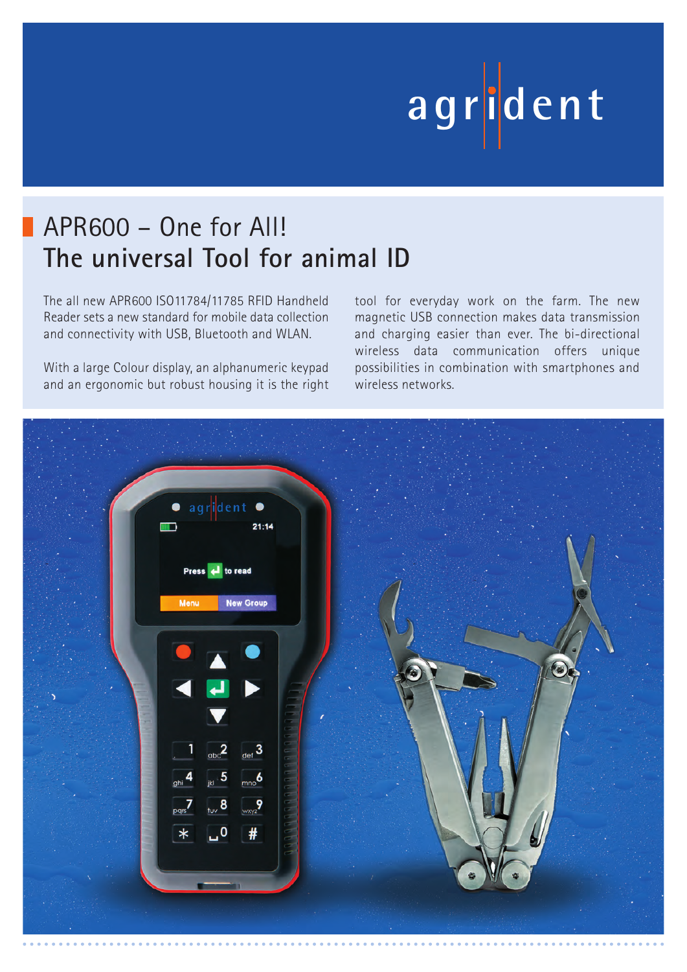# **ag r iden t**

## APR600 – One for All! **The universal Tool for animal ID**

The all new APR600 ISO11784/11785 RFID Handheld Reader sets a new standard for mobile data collection and connectivity with USB, Bluetooth and WLAN.

With a large Colour display, an alphanumeric keypad and an ergonomic but robust housing it is the right tool for everyday work on the farm. The new magnetic USB connection makes data transmission and charging easier than ever. The bi-directional wireless data communication offers unique possibilities in combination with smartphones and wireless networks.